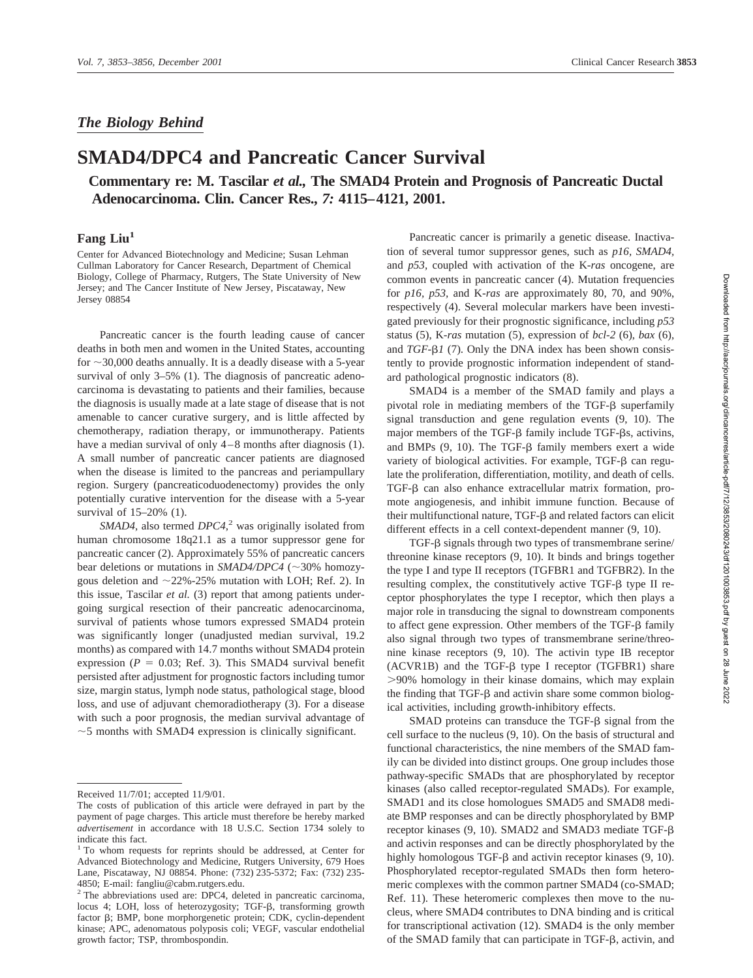## *The Biology Behind*

## **SMAD4/DPC4 and Pancreatic Cancer Survival**

**Commentary re: M. Tascilar** *et al.,* **The SMAD4 Protein and Prognosis of Pancreatic Ductal Adenocarcinoma. Clin. Cancer Res.,** *7:* **4115–4121, 2001.**

## Fang Liu<sup>1</sup>

Center for Advanced Biotechnology and Medicine; Susan Lehman Cullman Laboratory for Cancer Research, Department of Chemical Biology, College of Pharmacy, Rutgers, The State University of New Jersey; and The Cancer Institute of New Jersey, Piscataway, New Jersey 08854

Pancreatic cancer is the fourth leading cause of cancer deaths in both men and women in the United States, accounting for  $\sim$  30,000 deaths annually. It is a deadly disease with a 5-year survival of only 3–5% (1). The diagnosis of pancreatic adenocarcinoma is devastating to patients and their families, because the diagnosis is usually made at a late stage of disease that is not amenable to cancer curative surgery, and is little affected by chemotherapy, radiation therapy, or immunotherapy. Patients have a median survival of only 4–8 months after diagnosis (1). A small number of pancreatic cancer patients are diagnosed when the disease is limited to the pancreas and periampullary region. Surgery (pancreaticoduodenectomy) provides the only potentially curative intervention for the disease with a 5-year survival of 15–20% (1).

*SMAD4*, also termed *DPC4*, <sup>2</sup> was originally isolated from human chromosome 18q21.1 as a tumor suppressor gene for pancreatic cancer (2). Approximately 55% of pancreatic cancers bear deletions or mutations in  $S MAD4/DPC4$  ( $\sim$ 30% homozygous deletion and  $\sim$  22%-25% mutation with LOH; Ref. 2). In this issue, Tascilar *et al.* (3) report that among patients undergoing surgical resection of their pancreatic adenocarcinoma, survival of patients whose tumors expressed SMAD4 protein was significantly longer (unadjusted median survival, 19.2 months) as compared with 14.7 months without SMAD4 protein expression ( $P = 0.03$ ; Ref. 3). This SMAD4 survival benefit persisted after adjustment for prognostic factors including tumor size, margin status, lymph node status, pathological stage, blood loss, and use of adjuvant chemoradiotherapy (3). For a disease with such a poor prognosis, the median survival advantage of  $\sim$  5 months with SMAD4 expression is clinically significant.

Pancreatic cancer is primarily a genetic disease. Inactivation of several tumor suppressor genes, such as *p16, SMAD4,* and *p53,* coupled with activation of the K-*ras* oncogene, are common events in pancreatic cancer (4). Mutation frequencies for *p16, p53,* and K-*ras* are approximately 80, 70, and 90%, respectively (4). Several molecular markers have been investigated previously for their prognostic significance, including *p53* status (5), K-*ras* mutation (5), expression of *bcl-2* (6), *bax* (6), and *TGF-* $\beta$ *l* (7). Only the DNA index has been shown consistently to provide prognostic information independent of standard pathological prognostic indicators (8).

SMAD4 is a member of the SMAD family and plays a pivotal role in mediating members of the TGF- $\beta$  superfamily signal transduction and gene regulation events (9, 10). The major members of the TGF- $\beta$  family include TGF- $\beta$ s, activins, and BMPs  $(9, 10)$ . The TGF- $\beta$  family members exert a wide variety of biological activities. For example, TGF- $\beta$  can regulate the proliferation, differentiation, motility, and death of cells.  $TGF- $\beta$  can also enhance extracellular matrix formation, pro$ mote angiogenesis, and inhibit immune function. Because of their multifunctional nature,  $TGF- $\beta$  and related factors can elicit$ different effects in a cell context-dependent manner (9, 10).

TGF- $\beta$  signals through two types of transmembrane serine/ threonine kinase receptors (9, 10). It binds and brings together the type I and type II receptors (TGFBR1 and TGFBR2). In the resulting complex, the constitutively active TGF- $\beta$  type II receptor phosphorylates the type I receptor, which then plays a major role in transducing the signal to downstream components to affect gene expression. Other members of the TGF- $\beta$  family also signal through two types of transmembrane serine/threonine kinase receptors (9, 10). The activin type IB receptor  $(ACVR1B)$  and the TGF- $\beta$  type I receptor (TGFBR1) share 90% homology in their kinase domains, which may explain the finding that  $TGF-\beta$  and activin share some common biological activities, including growth-inhibitory effects.

SMAD proteins can transduce the  $TGF- $\beta$  signal from the$ cell surface to the nucleus (9, 10). On the basis of structural and functional characteristics, the nine members of the SMAD family can be divided into distinct groups. One group includes those pathway-specific SMADs that are phosphorylated by receptor kinases (also called receptor-regulated SMADs). For example, SMAD1 and its close homologues SMAD5 and SMAD8 mediate BMP responses and can be directly phosphorylated by BMP receptor kinases (9, 10). SMAD2 and SMAD3 mediate TGF and activin responses and can be directly phosphorylated by the highly homologous TGF- $\beta$  and activin receptor kinases (9, 10). Phosphorylated receptor-regulated SMADs then form heteromeric complexes with the common partner SMAD4 (co-SMAD; Ref. 11). These heteromeric complexes then move to the nucleus, where SMAD4 contributes to DNA binding and is critical for transcriptional activation (12). SMAD4 is the only member of the SMAD family that can participate in TGF- $\beta$ , activin, and

Received 11/7/01; accepted 11/9/01.

The costs of publication of this article were defrayed in part by the payment of page charges. This article must therefore be hereby marked *advertisement* in accordance with 18 U.S.C. Section 1734 solely to indicate this fact.

<sup>&</sup>lt;sup>1</sup> To whom requests for reprints should be addressed, at Center for Advanced Biotechnology and Medicine, Rutgers University, 679 Hoes Lane, Piscataway, NJ 08854. Phone: (732) 235-5372; Fax: (732) 235- 4850; E-mail: fangliu@cabm.rutgers.edu.

<sup>&</sup>lt;sup>2</sup> The abbreviations used are: DPC4, deleted in pancreatic carcinoma, locus 4; LOH, loss of heterozygosity; TGF- $\beta$ , transforming growth factor  $\beta$ ; BMP, bone morphorgenetic protein; CDK, cyclin-dependent kinase; APC, adenomatous polyposis coli; VEGF, vascular endothelial growth factor; TSP, thrombospondin.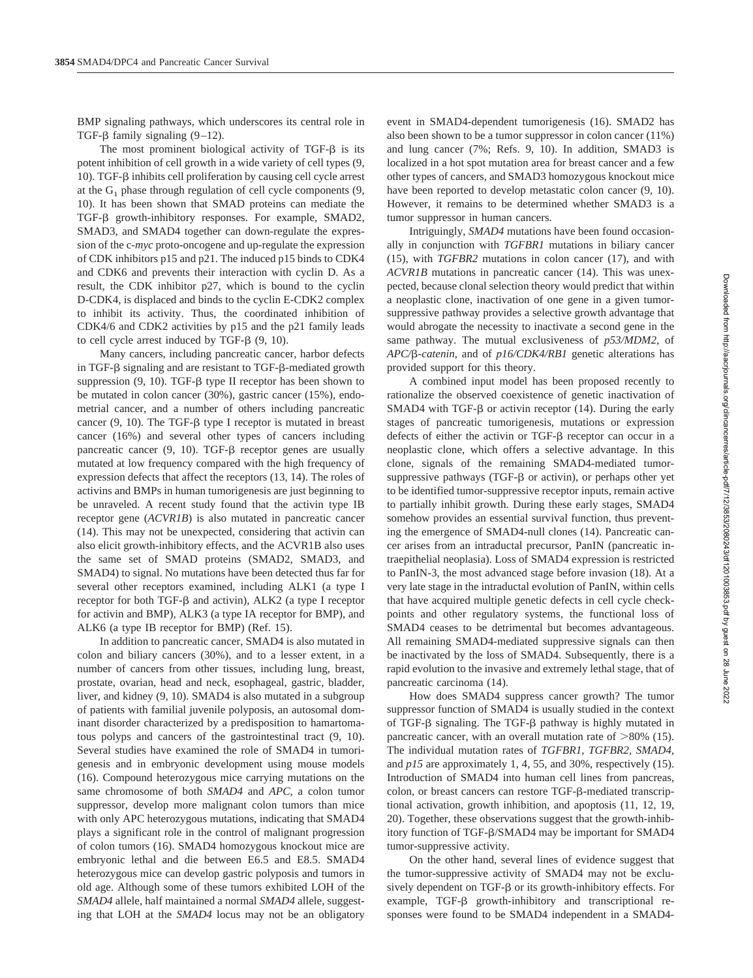BMP signaling pathways, which underscores its central role in TGF- $\beta$  family signaling (9–12).

The most prominent biological activity of TGF- $\beta$  is its potent inhibition of cell growth in a wide variety of cell types (9, 10). TGF- $\beta$  inhibits cell proliferation by causing cell cycle arrest at the  $G_1$  phase through regulation of cell cycle components (9, 10). It has been shown that SMAD proteins can mediate the TGF- $\beta$  growth-inhibitory responses. For example, SMAD2, SMAD3, and SMAD4 together can down-regulate the expression of the c-*myc* proto-oncogene and up-regulate the expression of CDK inhibitors p15 and p21. The induced p15 binds to CDK4 and CDK6 and prevents their interaction with cyclin D. As a result, the CDK inhibitor p27, which is bound to the cyclin D-CDK4, is displaced and binds to the cyclin E-CDK2 complex to inhibit its activity. Thus, the coordinated inhibition of CDK4/6 and CDK2 activities by p15 and the p21 family leads to cell cycle arrest induced by TGF- $\beta$  (9, 10).

Many cancers, including pancreatic cancer, harbor defects in TGF- $\beta$  signaling and are resistant to TGF- $\beta$ -mediated growth suppression  $(9, 10)$ . TGF- $\beta$  type II receptor has been shown to be mutated in colon cancer (30%), gastric cancer (15%), endometrial cancer, and a number of others including pancreatic cancer  $(9, 10)$ . The TGF- $\beta$  type I receptor is mutated in breast cancer (16%) and several other types of cancers including pancreatic cancer  $(9, 10)$ . TGF- $\beta$  receptor genes are usually mutated at low frequency compared with the high frequency of expression defects that affect the receptors (13, 14). The roles of activins and BMPs in human tumorigenesis are just beginning to be unraveled. A recent study found that the activin type IB receptor gene (*ACVR1B*) is also mutated in pancreatic cancer (14). This may not be unexpected, considering that activin can also elicit growth-inhibitory effects, and the ACVR1B also uses the same set of SMAD proteins (SMAD2, SMAD3, and SMAD4) to signal. No mutations have been detected thus far for several other receptors examined, including ALK1 (a type I receptor for both TGF- $\beta$  and activin), ALK2 (a type I receptor for activin and BMP), ALK3 (a type IA receptor for BMP), and ALK6 (a type IB receptor for BMP) (Ref. 15).

In addition to pancreatic cancer, SMAD4 is also mutated in colon and biliary cancers (30%), and to a lesser extent, in a number of cancers from other tissues, including lung, breast, prostate, ovarian, head and neck, esophageal, gastric, bladder, liver, and kidney (9, 10). SMAD4 is also mutated in a subgroup of patients with familial juvenile polyposis, an autosomal dominant disorder characterized by a predisposition to hamartomatous polyps and cancers of the gastrointestinal tract (9, 10). Several studies have examined the role of SMAD4 in tumorigenesis and in embryonic development using mouse models (16). Compound heterozygous mice carrying mutations on the same chromosome of both *SMAD4* and *APC*, a colon tumor suppressor, develop more malignant colon tumors than mice with only APC heterozygous mutations, indicating that SMAD4 plays a significant role in the control of malignant progression of colon tumors (16). SMAD4 homozygous knockout mice are embryonic lethal and die between E6.5 and E8.5. SMAD4 heterozygous mice can develop gastric polyposis and tumors in old age. Although some of these tumors exhibited LOH of the *SMAD4* allele, half maintained a normal *SMAD4* allele, suggesting that LOH at the *SMAD4* locus may not be an obligatory

event in SMAD4-dependent tumorigenesis (16). SMAD2 has also been shown to be a tumor suppressor in colon cancer (11%) and lung cancer (7%; Refs. 9, 10). In addition, SMAD3 is localized in a hot spot mutation area for breast cancer and a few other types of cancers, and SMAD3 homozygous knockout mice have been reported to develop metastatic colon cancer (9, 10). However, it remains to be determined whether SMAD3 is a tumor suppressor in human cancers.

Intriguingly, *SMAD4* mutations have been found occasionally in conjunction with *TGFBR1* mutations in biliary cancer (15), with *TGFBR2* mutations in colon cancer (17), and with *ACVR1B* mutations in pancreatic cancer (14). This was unexpected, because clonal selection theory would predict that within a neoplastic clone, inactivation of one gene in a given tumorsuppressive pathway provides a selective growth advantage that would abrogate the necessity to inactivate a second gene in the same pathway. The mutual exclusiveness of *p53/MDM2*, of *APC/-catenin*, and of *p16/CDK4/RB1* genetic alterations has provided support for this theory.

A combined input model has been proposed recently to rationalize the observed coexistence of genetic inactivation of SMAD4 with TGF- $\beta$  or activin receptor (14). During the early stages of pancreatic tumorigenesis, mutations or expression defects of either the activin or TGF- $\beta$  receptor can occur in a neoplastic clone, which offers a selective advantage. In this clone, signals of the remaining SMAD4-mediated tumorsuppressive pathways ( $TGF- $\beta$$  or activin), or perhaps other yet to be identified tumor-suppressive receptor inputs, remain active to partially inhibit growth. During these early stages, SMAD4 somehow provides an essential survival function, thus preventing the emergence of SMAD4-null clones (14). Pancreatic cancer arises from an intraductal precursor, PanIN (pancreatic intraepithelial neoplasia). Loss of SMAD4 expression is restricted to PanIN-3, the most advanced stage before invasion (18). At a very late stage in the intraductal evolution of PanIN, within cells that have acquired multiple genetic defects in cell cycle checkpoints and other regulatory systems, the functional loss of SMAD4 ceases to be detrimental but becomes advantageous. All remaining SMAD4-mediated suppressive signals can then be inactivated by the loss of SMAD4. Subsequently, there is a rapid evolution to the invasive and extremely lethal stage, that of pancreatic carcinoma (14).

How does SMAD4 suppress cancer growth? The tumor suppressor function of SMAD4 is usually studied in the context of TGF- $\beta$  signaling. The TGF- $\beta$  pathway is highly mutated in pancreatic cancer, with an overall mutation rate of  $>80\%$  (15). The individual mutation rates of *TGFBR1*, *TGFBR2*, *SMAD4*, and *p15* are approximately 1, 4, 55, and 30%, respectively (15). Introduction of SMAD4 into human cell lines from pancreas, colon, or breast cancers can restore TGF-ß-mediated transcriptional activation, growth inhibition, and apoptosis (11, 12, 19, 20). Together, these observations suggest that the growth-inhibitory function of TGF- $\beta$ /SMAD4 may be important for SMAD4 tumor-suppressive activity.

On the other hand, several lines of evidence suggest that the tumor-suppressive activity of SMAD4 may not be exclusively dependent on TGF- $\beta$  or its growth-inhibitory effects. For example,  $TGF- $\beta$  growth-inhibitory and transcriptional re$ sponses were found to be SMAD4 independent in a SMAD4-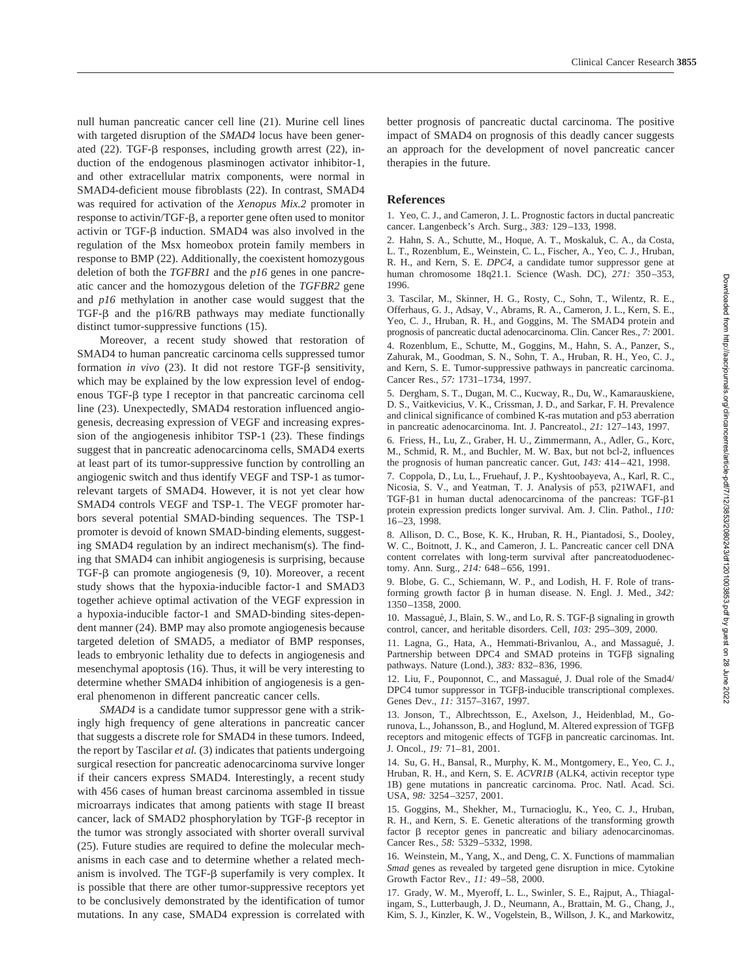null human pancreatic cancer cell line (21). Murine cell lines with targeted disruption of the *SMAD4* locus have been generated  $(22)$ . TGF- $\beta$  responses, including growth arrest  $(22)$ , induction of the endogenous plasminogen activator inhibitor-1, and other extracellular matrix components, were normal in SMAD4-deficient mouse fibroblasts (22). In contrast, SMAD4 was required for activation of the *Xenopus Mix.2* promoter in response to activin/TGF- $\beta$ , a reporter gene often used to monitor activin or TGF- $\beta$  induction. SMAD4 was also involved in the regulation of the Msx homeobox protein family members in response to BMP (22). Additionally, the coexistent homozygous deletion of both the *TGFBR1* and the *p16* genes in one pancreatic cancer and the homozygous deletion of the *TGFBR2* gene and *p16* methylation in another case would suggest that the TGF- $\beta$  and the p16/RB pathways may mediate functionally distinct tumor-suppressive functions (15).

Moreover, a recent study showed that restoration of SMAD4 to human pancreatic carcinoma cells suppressed tumor formation *in vivo* (23). It did not restore TGF- $\beta$  sensitivity, which may be explained by the low expression level of endogenous TGF- $\beta$  type I receptor in that pancreatic carcinoma cell line (23). Unexpectedly, SMAD4 restoration influenced angiogenesis, decreasing expression of VEGF and increasing expression of the angiogenesis inhibitor TSP-1 (23). These findings suggest that in pancreatic adenocarcinoma cells, SMAD4 exerts at least part of its tumor-suppressive function by controlling an angiogenic switch and thus identify VEGF and TSP-1 as tumorrelevant targets of SMAD4. However, it is not yet clear how SMAD4 controls VEGF and TSP-1. The VEGF promoter harbors several potential SMAD-binding sequences. The TSP-1 promoter is devoid of known SMAD-binding elements, suggesting SMAD4 regulation by an indirect mechanism(s). The finding that SMAD4 can inhibit angiogenesis is surprising, because TGF- $\beta$  can promote angiogenesis (9, 10). Moreover, a recent study shows that the hypoxia-inducible factor-1 and SMAD3 together achieve optimal activation of the VEGF expression in a hypoxia-inducible factor-1 and SMAD-binding sites-dependent manner (24). BMP may also promote angiogenesis because targeted deletion of SMAD5, a mediator of BMP responses, leads to embryonic lethality due to defects in angiogenesis and mesenchymal apoptosis (16). Thus, it will be very interesting to determine whether SMAD4 inhibition of angiogenesis is a general phenomenon in different pancreatic cancer cells.

*SMAD4* is a candidate tumor suppressor gene with a strikingly high frequency of gene alterations in pancreatic cancer that suggests a discrete role for SMAD4 in these tumors. Indeed, the report by Tascilar *et al.* (3) indicates that patients undergoing surgical resection for pancreatic adenocarcinoma survive longer if their cancers express SMAD4. Interestingly, a recent study with 456 cases of human breast carcinoma assembled in tissue microarrays indicates that among patients with stage II breast cancer, lack of SMAD2 phosphorylation by TGF- $\beta$  receptor in the tumor was strongly associated with shorter overall survival (25). Future studies are required to define the molecular mechanisms in each case and to determine whether a related mechanism is involved. The TGF- $\beta$  superfamily is very complex. It is possible that there are other tumor-suppressive receptors yet to be conclusively demonstrated by the identification of tumor mutations. In any case, SMAD4 expression is correlated with better prognosis of pancreatic ductal carcinoma. The positive impact of SMAD4 on prognosis of this deadly cancer suggests an approach for the development of novel pancreatic cancer therapies in the future.

Clinical Cancer Research **3855**

## **References**

1. Yeo, C. J., and Cameron, J. L. Prognostic factors in ductal pancreatic cancer. Langenbeck's Arch. Surg., *383:* 129–133, 1998.

2. Hahn, S. A., Schutte, M., Hoque, A. T., Moskaluk, C. A., da Costa, L. T., Rozenblum, E., Weinstein, C. L., Fischer, A., Yeo, C. J., Hruban, R. H., and Kern, S. E. *DPC4,* a candidate tumor suppressor gene at human chromosome 18q21.1. Science (Wash. DC), *271:* 350–353, 1996.

3. Tascilar, M., Skinner, H. G., Rosty, C., Sohn, T., Wilentz, R. E., Offerhaus, G. J., Adsay, V., Abrams, R. A., Cameron, J. L., Kern, S. E., Yeo, C. J., Hruban, R. H., and Goggins, M. The SMAD4 protein and prognosis of pancreatic ductal adenocarcinoma. Clin. Cancer Res., *7:* 2001.

4. Rozenblum, E., Schutte, M., Goggins, M., Hahn, S. A., Panzer, S., Zahurak, M., Goodman, S. N., Sohn, T. A., Hruban, R. H., Yeo, C. J., and Kern, S. E. Tumor-suppressive pathways in pancreatic carcinoma. Cancer Res., *57:* 1731–1734, 1997.

5. Dergham, S. T., Dugan, M. C., Kucway, R., Du, W., Kamarauskiene, D. S., Vaitkevicius, V. K., Crissman, J. D., and Sarkar, F. H. Prevalence and clinical significance of combined K-ras mutation and p53 aberration in pancreatic adenocarcinoma. Int. J. Pancreatol., *21:* 127–143, 1997.

6. Friess, H., Lu, Z., Graber, H. U., Zimmermann, A., Adler, G., Korc, M., Schmid, R. M., and Buchler, M. W. Bax, but not bcl-2, influences the prognosis of human pancreatic cancer. Gut, *143:* 414–421, 1998.

7. Coppola, D., Lu, L., Fruehauf, J. P., Kyshtoobayeva, A., Karl, R. C., Nicosia, S. V., and Yeatman, T. J. Analysis of p53, p21WAF1, and  $TGF- $\beta$ 1$  in human ductal adenocarcinoma of the pancreas:  $TGF- $\beta$ 1$ protein expression predicts longer survival. Am. J. Clin. Pathol., *110:* 16–23, 1998.

8. Allison, D. C., Bose, K. K., Hruban, R. H., Piantadosi, S., Dooley, W. C., Boitnott, J. K., and Cameron, J. L. Pancreatic cancer cell DNA content correlates with long-term survival after pancreatoduodenectomy. Ann. Surg., *214:* 648–656, 1991.

9. Blobe, G. C., Schiemann, W. P., and Lodish, H. F. Role of transforming growth factor  $\beta$  in human disease. N. Engl. J. Med.,  $342$ : 1350–1358, 2000.

10. Massagué, J., Blain, S. W., and Lo, R. S. TGF- $\beta$  signaling in growth control, cancer, and heritable disorders. Cell, *103:* 295–309, 2000.

11. Lagna, G., Hata, A., Hemmati-Brivanlou, A., and Massagué, J. Partnership between DPC4 and SMAD proteins in TGFß signaling pathways. Nature (Lond.), *383:* 832–836, 1996.

12. Liu, F., Pouponnot, C., and Massagué, J. Dual role of the Smad4/ DPC4 tumor suppressor in TGFß-inducible transcriptional complexes. Genes Dev., *11:* 3157–3167, 1997.

13. Jonson, T., Albrechtsson, E., Axelson, J., Heidenblad, M., Gorunova, L., Johansson, B., and Hoglund, M. Altered expression of TGF receptors and mitogenic effects of TGFß in pancreatic carcinomas. Int. J. Oncol., *19:* 71–81, 2001.

14. Su, G. H., Bansal, R., Murphy, K. M., Montgomery, E., Yeo, C. J., Hruban, R. H., and Kern, S. E. *ACVR1B* (ALK4, activin receptor type 1B) gene mutations in pancreatic carcinoma. Proc. Natl. Acad. Sci. USA, *98:* 3254–3257, 2001.

15. Goggins, M., Shekher, M., Turnacioglu, K., Yeo, C. J., Hruban, R. H., and Kern, S. E. Genetic alterations of the transforming growth factor  $\beta$  receptor genes in pancreatic and biliary adenocarcinomas. Cancer Res., *58:* 5329–5332, 1998.

16. Weinstein, M., Yang, X., and Deng, C. X. Functions of mammalian *Smad* genes as revealed by targeted gene disruption in mice. Cytokine Growth Factor Rev., *11:* 49–58, 2000.

17. Grady, W. M., Myeroff, L. L., Swinler, S. E., Rajput, A., Thiagalingam, S., Lutterbaugh, J. D., Neumann, A., Brattain, M. G., Chang, J., Kim, S. J., Kinzler, K. W., Vogelstein, B., Willson, J. K., and Markowitz,